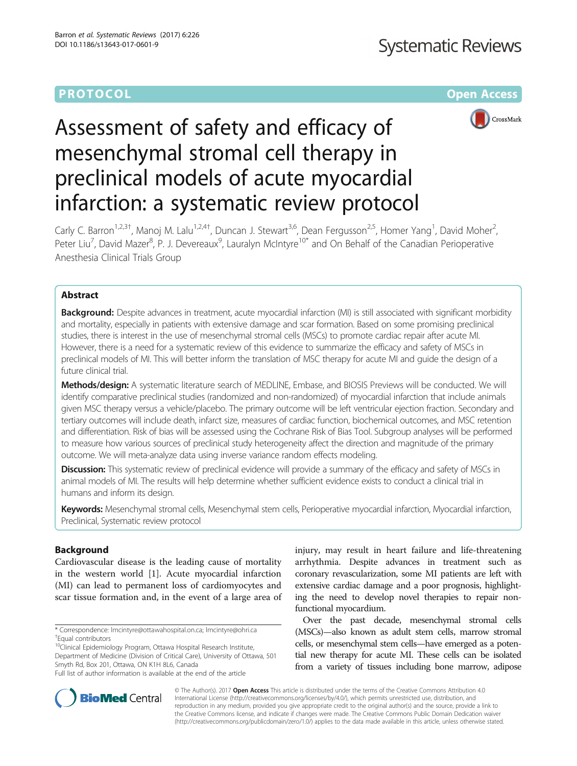# **PROTOCOL CONSUMING THE OPEN ACCESS**



# Assessment of safety and efficacy of mesenchymal stromal cell therapy in preclinical models of acute myocardial infarction: a systematic review protocol

Carly C. Barron<sup>1,2,3†</sup>, Manoj M. Lalu<sup>1,2,4†</sup>, Duncan J. Stewart<sup>3,6</sup>, Dean Fergusson<sup>2,5</sup>, Homer Yang<sup>1</sup>, David Moher<sup>2</sup> , Peter Liu<sup>7</sup>, David Mazer<sup>8</sup>, P. J. Devereaux<sup>9</sup>, Lauralyn McIntyre<sup>10\*</sup> and On Behalf of the Canadian Perioperative Anesthesia Clinical Trials Group

# Abstract

**Background:** Despite advances in treatment, acute myocardial infarction (MI) is still associated with significant morbidity and mortality, especially in patients with extensive damage and scar formation. Based on some promising preclinical studies, there is interest in the use of mesenchymal stromal cells (MSCs) to promote cardiac repair after acute MI. However, there is a need for a systematic review of this evidence to summarize the efficacy and safety of MSCs in preclinical models of MI. This will better inform the translation of MSC therapy for acute MI and guide the design of a future clinical trial.

Methods/design: A systematic literature search of MEDLINE, Embase, and BIOSIS Previews will be conducted. We will identify comparative preclinical studies (randomized and non-randomized) of myocardial infarction that include animals given MSC therapy versus a vehicle/placebo. The primary outcome will be left ventricular ejection fraction. Secondary and tertiary outcomes will include death, infarct size, measures of cardiac function, biochemical outcomes, and MSC retention and differentiation. Risk of bias will be assessed using the Cochrane Risk of Bias Tool. Subgroup analyses will be performed to measure how various sources of preclinical study heterogeneity affect the direction and magnitude of the primary outcome. We will meta-analyze data using inverse variance random effects modeling.

**Discussion:** This systematic review of preclinical evidence will provide a summary of the efficacy and safety of MSCs in animal models of MI. The results will help determine whether sufficient evidence exists to conduct a clinical trial in humans and inform its design.

Keywords: Mesenchymal stromal cells, Mesenchymal stem cells, Perioperative myocardial infarction, Myocardial infarction, Preclinical, Systematic review protocol

## Background

Cardiovascular disease is the leading cause of mortality in the western world [\[1](#page-6-0)]. Acute myocardial infarction (MI) can lead to permanent loss of cardiomyocytes and scar tissue formation and, in the event of a large area of

<sup>10</sup>Clinical Epidemiology Program, Ottawa Hospital Research Institute, Department of Medicine (Division of Critical Care), University of Ottawa, 501 Smyth Rd, Box 201, Ottawa, ON K1H 8L6, Canada Full list of author information is available at the end of the article

injury, may result in heart failure and life-threatening arrhythmia. Despite advances in treatment such as coronary revascularization, some MI patients are left with extensive cardiac damage and a poor prognosis, highlighting the need to develop novel therapies to repair nonfunctional myocardium.

Over the past decade, mesenchymal stromal cells (MSCs)—also known as adult stem cells, marrow stromal cells, or mesenchymal stem cells—have emerged as a potential new therapy for acute MI. These cells can be isolated from a variety of tissues including bone marrow, adipose



© The Author(s). 2017 **Open Access** This article is distributed under the terms of the Creative Commons Attribution 4.0 International License [\(http://creativecommons.org/licenses/by/4.0/](http://creativecommons.org/licenses/by/4.0/)), which permits unrestricted use, distribution, and reproduction in any medium, provided you give appropriate credit to the original author(s) and the source, provide a link to the Creative Commons license, and indicate if changes were made. The Creative Commons Public Domain Dedication waiver [\(http://creativecommons.org/publicdomain/zero/1.0/](http://creativecommons.org/publicdomain/zero/1.0/)) applies to the data made available in this article, unless otherwise stated.

<sup>\*</sup> Correspondence: [lmcintyre@ottawahospital.on.ca](mailto:lmcintyre@ottawahospital.on.ca); [lmcintyre@ohri.ca](mailto:lmcintyre@ohri.ca) † Equal contributors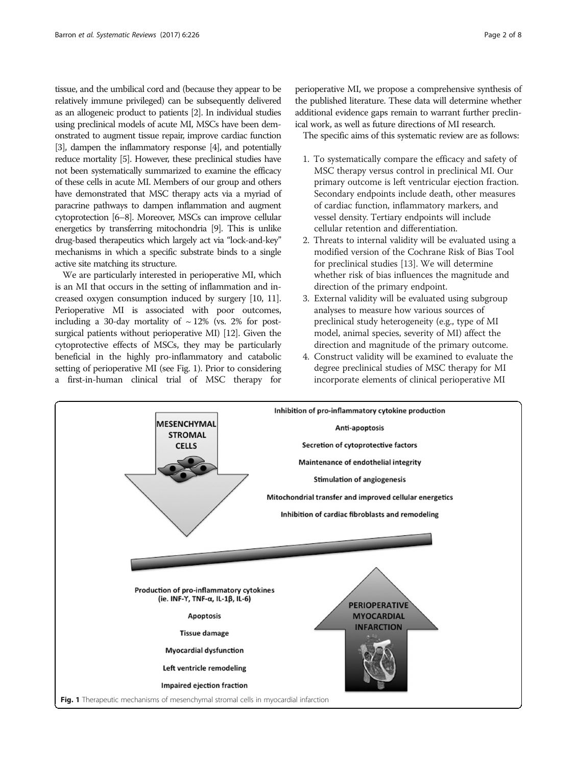tissue, and the umbilical cord and (because they appear to be relatively immune privileged) can be subsequently delivered as an allogeneic product to patients [\[2\]](#page-6-0). In individual studies using preclinical models of acute MI, MSCs have been demonstrated to augment tissue repair, improve cardiac function [[3](#page-6-0)], dampen the inflammatory response [\[4\]](#page-7-0), and potentially reduce mortality [\[5](#page-7-0)]. However, these preclinical studies have not been systematically summarized to examine the efficacy of these cells in acute MI. Members of our group and others have demonstrated that MSC therapy acts via a myriad of paracrine pathways to dampen inflammation and augment cytoprotection [\[6](#page-7-0)–[8](#page-7-0)]. Moreover, MSCs can improve cellular energetics by transferring mitochondria [\[9\]](#page-7-0). This is unlike drug-based therapeutics which largely act via "lock-and-key" mechanisms in which a specific substrate binds to a single active site matching its structure.

We are particularly interested in perioperative MI, which is an MI that occurs in the setting of inflammation and increased oxygen consumption induced by surgery [[10](#page-7-0), [11](#page-7-0)]. Perioperative MI is associated with poor outcomes, including a 30-day mortality of  $\sim$  12% (vs. 2% for postsurgical patients without perioperative MI) [[12\]](#page-7-0). Given the cytoprotective effects of MSCs, they may be particularly beneficial in the highly pro-inflammatory and catabolic setting of perioperative MI (see Fig. 1). Prior to considering a first-in-human clinical trial of MSC therapy for

perioperative MI, we propose a comprehensive synthesis of the published literature. These data will determine whether additional evidence gaps remain to warrant further preclinical work, as well as future directions of MI research.

The specific aims of this systematic review are as follows:

- 1. To systematically compare the efficacy and safety of MSC therapy versus control in preclinical MI. Our primary outcome is left ventricular ejection fraction. Secondary endpoints include death, other measures of cardiac function, inflammatory markers, and vessel density. Tertiary endpoints will include cellular retention and differentiation.
- 2. Threats to internal validity will be evaluated using a modified version of the Cochrane Risk of Bias Tool for preclinical studies [[13](#page-7-0)]. We will determine whether risk of bias influences the magnitude and direction of the primary endpoint.
- 3. External validity will be evaluated using subgroup analyses to measure how various sources of preclinical study heterogeneity (e.g., type of MI model, animal species, severity of MI) affect the direction and magnitude of the primary outcome.
- 4. Construct validity will be examined to evaluate the degree preclinical studies of MSC therapy for MI incorporate elements of clinical perioperative MI

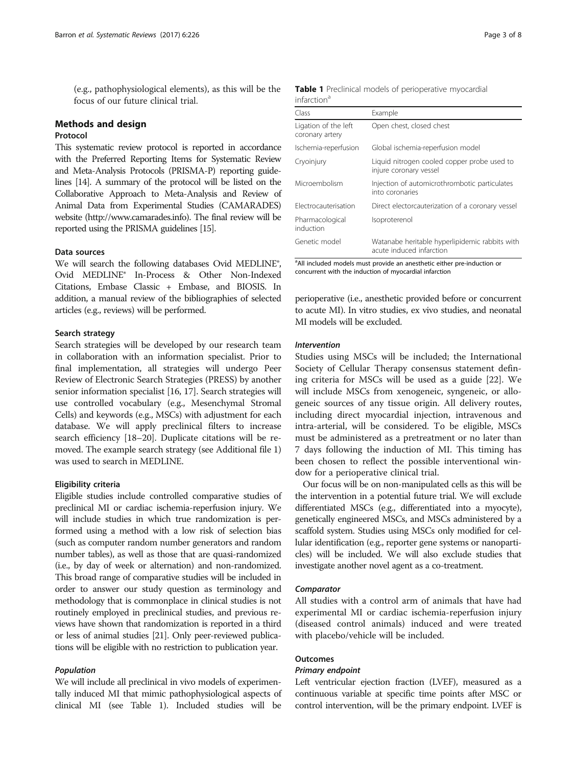(e.g., pathophysiological elements), as this will be the focus of our future clinical trial.

## Methods and design

## Protocol

This systematic review protocol is reported in accordance with the Preferred Reporting Items for Systematic Review and Meta-Analysis Protocols (PRISMA-P) reporting guidelines [[14\]](#page-7-0). A summary of the protocol will be listed on the Collaborative Approach to Meta-Analysis and Review of Animal Data from Experimental Studies (CAMARADES) website (<http://www.camarades.info>). The final review will be reported using the PRISMA guidelines [\[15](#page-7-0)].

## Data sources

We will search the following databases Ovid MEDLINE®, Ovid MEDLINE® In-Process & Other Non-Indexed Citations, Embase Classic + Embase, and BIOSIS. In addition, a manual review of the bibliographies of selected articles (e.g., reviews) will be performed.

### Search strategy

Search strategies will be developed by our research team in collaboration with an information specialist. Prior to final implementation, all strategies will undergo Peer Review of Electronic Search Strategies (PRESS) by another senior information specialist [[16](#page-7-0), [17\]](#page-7-0). Search strategies will use controlled vocabulary (e.g., Mesenchymal Stromal Cells) and keywords (e.g., MSCs) with adjustment for each database. We will apply preclinical filters to increase search efficiency [\[18](#page-7-0)–[20](#page-7-0)]. Duplicate citations will be removed. The example search strategy (see Additional file [1](#page-6-0)) was used to search in MEDLINE.

#### Eligibility criteria

Eligible studies include controlled comparative studies of preclinical MI or cardiac ischemia-reperfusion injury. We will include studies in which true randomization is performed using a method with a low risk of selection bias (such as computer random number generators and random number tables), as well as those that are quasi-randomized (i.e., by day of week or alternation) and non-randomized. This broad range of comparative studies will be included in order to answer our study question as terminology and methodology that is commonplace in clinical studies is not routinely employed in preclinical studies, and previous reviews have shown that randomization is reported in a third or less of animal studies [\[21](#page-7-0)]. Only peer-reviewed publications will be eligible with no restriction to publication year.

## Population

We will include all preclinical in vivo models of experimentally induced MI that mimic pathophysiological aspects of clinical MI (see Table 1). Included studies will be

|                         |  | <b>Table 1</b> Preclinical models of perioperative myocardial |  |
|-------------------------|--|---------------------------------------------------------------|--|
| infarction <sup>d</sup> |  |                                                               |  |

| Class                                   | Example                                                                    |
|-----------------------------------------|----------------------------------------------------------------------------|
| Ligation of the left<br>coronary artery | Open chest, closed chest                                                   |
| Ischemia-reperfusion                    | Global ischemia-reperfusion model                                          |
| Cryoinjury                              | Liquid nitrogen cooled copper probe used to<br>injure coronary vessel      |
| Microembolism                           | Injection of automicrothrombotic particulates<br>into coronaries           |
| Flectrocauterisation                    | Direct electorcauterization of a coronary vessel                           |
| Pharmacological<br>induction            | Isoproterenol                                                              |
| Genetic model                           | Watanabe heritable hyperlipidemic rabbits with<br>acute induced infarction |

<sup>a</sup> All included models must provide an anesthetic either pre-induction or concurrent with the induction of myocardial infarction

perioperative (i.e., anesthetic provided before or concurrent to acute MI). In vitro studies, ex vivo studies, and neonatal MI models will be excluded.

### Intervention

Studies using MSCs will be included; the International Society of Cellular Therapy consensus statement defining criteria for MSCs will be used as a guide [[22\]](#page-7-0). We will include MSCs from xenogeneic, syngeneic, or allogeneic sources of any tissue origin. All delivery routes, including direct myocardial injection, intravenous and intra-arterial, will be considered. To be eligible, MSCs must be administered as a pretreatment or no later than 7 days following the induction of MI. This timing has been chosen to reflect the possible interventional window for a perioperative clinical trial.

Our focus will be on non-manipulated cells as this will be the intervention in a potential future trial. We will exclude differentiated MSCs (e.g., differentiated into a myocyte), genetically engineered MSCs, and MSCs administered by a scaffold system. Studies using MSCs only modified for cellular identification (e.g., reporter gene systems or nanoparticles) will be included. We will also exclude studies that investigate another novel agent as a co-treatment.

#### Comparator

All studies with a control arm of animals that have had experimental MI or cardiac ischemia-reperfusion injury (diseased control animals) induced and were treated with placebo/vehicle will be included.

## **Outcomes**

## Primary endpoint

Left ventricular ejection fraction (LVEF), measured as a continuous variable at specific time points after MSC or control intervention, will be the primary endpoint. LVEF is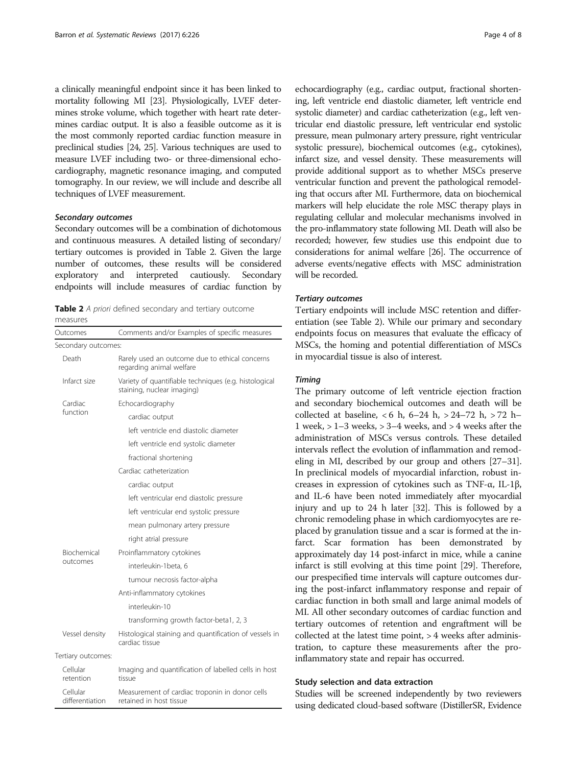a clinically meaningful endpoint since it has been linked to mortality following MI [\[23](#page-7-0)]. Physiologically, LVEF determines stroke volume, which together with heart rate determines cardiac output. It is also a feasible outcome as it is the most commonly reported cardiac function measure in preclinical studies [[24](#page-7-0), [25](#page-7-0)]. Various techniques are used to measure LVEF including two- or three-dimensional echocardiography, magnetic resonance imaging, and computed tomography. In our review, we will include and describe all techniques of LVEF measurement.

## Secondary outcomes

Secondary outcomes will be a combination of dichotomous and continuous measures. A detailed listing of secondary/ tertiary outcomes is provided in Table 2. Given the large number of outcomes, these results will be considered exploratory and interpreted cautiously. Secondary endpoints will include measures of cardiac function by

Table 2 A priori defined secondary and tertiary outcome measures

| Outcomes                    | Comments and/or Examples of specific measures                                       |  |  |  |
|-----------------------------|-------------------------------------------------------------------------------------|--|--|--|
| Secondary outcomes:         |                                                                                     |  |  |  |
| Death                       | Rarely used an outcome due to ethical concerns<br>regarding animal welfare          |  |  |  |
| Infarct size                | Variety of quantifiable techniques (e.g. histological<br>staining, nuclear imaging) |  |  |  |
| Cardiac                     | Echocardiography                                                                    |  |  |  |
| function                    | cardiac output                                                                      |  |  |  |
|                             | left ventricle end diastolic diameter                                               |  |  |  |
|                             | left ventricle end systolic diameter                                                |  |  |  |
|                             | fractional shortening                                                               |  |  |  |
|                             | Cardiac catheterization                                                             |  |  |  |
|                             | cardiac output                                                                      |  |  |  |
|                             | left ventricular end diastolic pressure                                             |  |  |  |
|                             | left ventricular end systolic pressure                                              |  |  |  |
|                             | mean pulmonary artery pressure                                                      |  |  |  |
|                             | right atrial pressure                                                               |  |  |  |
| Biochemical                 | Proinflammatory cytokines                                                           |  |  |  |
| outcomes                    | interleukin-1beta, 6                                                                |  |  |  |
|                             | tumour necrosis factor-alpha                                                        |  |  |  |
|                             | Anti-inflammatory cytokines                                                         |  |  |  |
|                             | interleukin-10                                                                      |  |  |  |
|                             | transforming growth factor-beta1, 2, 3                                              |  |  |  |
| Vessel density              | Histological staining and quantification of vessels in<br>cardiac tissue            |  |  |  |
| Tertiary outcomes:          |                                                                                     |  |  |  |
| Cellular<br>retention       | Imaging and quantification of labelled cells in host<br>tissue                      |  |  |  |
| Cellular<br>differentiation | Measurement of cardiac troponin in donor cells<br>retained in host tissue           |  |  |  |

echocardiography (e.g., cardiac output, fractional shortening, left ventricle end diastolic diameter, left ventricle end systolic diameter) and cardiac catheterization (e.g., left ventricular end diastolic pressure, left ventricular end systolic pressure, mean pulmonary artery pressure, right ventricular systolic pressure), biochemical outcomes (e.g., cytokines), infarct size, and vessel density. These measurements will provide additional support as to whether MSCs preserve ventricular function and prevent the pathological remodeling that occurs after MI. Furthermore, data on biochemical markers will help elucidate the role MSC therapy plays in regulating cellular and molecular mechanisms involved in the pro-inflammatory state following MI. Death will also be recorded; however, few studies use this endpoint due to considerations for animal welfare [\[26\]](#page-7-0). The occurrence of adverse events/negative effects with MSC administration will be recorded.

#### Tertiary outcomes

Tertiary endpoints will include MSC retention and differentiation (see Table 2). While our primary and secondary endpoints focus on measures that evaluate the efficacy of MSCs, the homing and potential differentiation of MSCs in myocardial tissue is also of interest.

## Timing

The primary outcome of left ventricle ejection fraction and secondary biochemical outcomes and death will be collected at baseline,  $< 6$  h,  $6-24$  h,  $> 24-72$  h,  $> 72$  h-1 week,  $> 1-3$  weeks,  $> 3-4$  weeks, and  $> 4$  weeks after the administration of MSCs versus controls. These detailed intervals reflect the evolution of inflammation and remodeling in MI, described by our group and others [\[27](#page-7-0)–[31](#page-7-0)]. In preclinical models of myocardial infarction, robust increases in expression of cytokines such as TNF-α, IL-1β, and IL-6 have been noted immediately after myocardial injury and up to 24 h later [\[32\]](#page-7-0). This is followed by a chronic remodeling phase in which cardiomyocytes are replaced by granulation tissue and a scar is formed at the infarct. Scar formation has been demonstrated by approximately day 14 post-infarct in mice, while a canine infarct is still evolving at this time point [\[29](#page-7-0)]. Therefore, our prespecified time intervals will capture outcomes during the post-infarct inflammatory response and repair of cardiac function in both small and large animal models of MI. All other secondary outcomes of cardiac function and tertiary outcomes of retention and engraftment will be collected at the latest time point, > 4 weeks after administration, to capture these measurements after the proinflammatory state and repair has occurred.

#### Study selection and data extraction

Studies will be screened independently by two reviewers using dedicated cloud-based software (DistillerSR, Evidence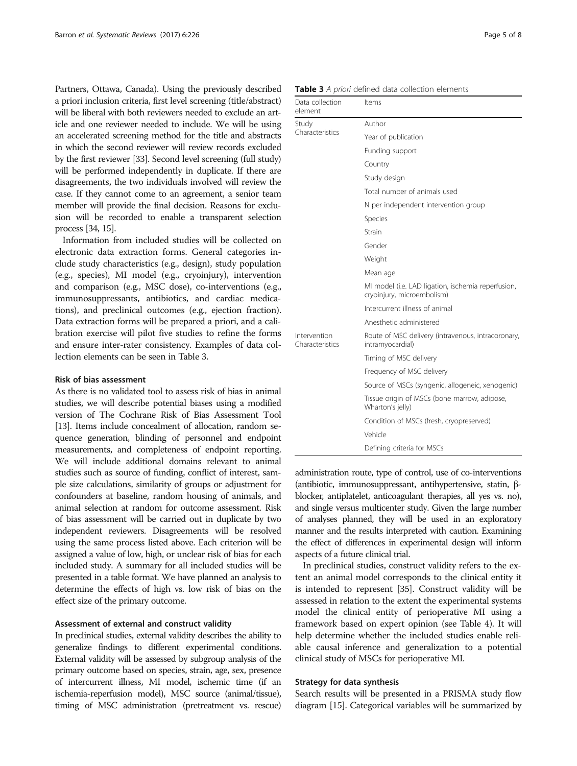Partners, Ottawa, Canada). Using the previously described a priori inclusion criteria, first level screening (title/abstract) will be liberal with both reviewers needed to exclude an article and one reviewer needed to include. We will be using an accelerated screening method for the title and abstracts in which the second reviewer will review records excluded by the first reviewer [\[33](#page-7-0)]. Second level screening (full study) will be performed independently in duplicate. If there are disagreements, the two individuals involved will review the case. If they cannot come to an agreement, a senior team member will provide the final decision. Reasons for exclusion will be recorded to enable a transparent selection process [\[34, 15\]](#page-7-0).

Information from included studies will be collected on electronic data extraction forms. General categories include study characteristics (e.g., design), study population (e.g., species), MI model (e.g., cryoinjury), intervention and comparison (e.g., MSC dose), co-interventions (e.g., immunosuppressants, antibiotics, and cardiac medications), and preclinical outcomes (e.g., ejection fraction). Data extraction forms will be prepared a priori, and a calibration exercise will pilot five studies to refine the forms and ensure inter-rater consistency. Examples of data collection elements can be seen in Table 3.

## Risk of bias assessment

As there is no validated tool to assess risk of bias in animal studies, we will describe potential biases using a modified version of The Cochrane Risk of Bias Assessment Tool [[13](#page-7-0)]. Items include concealment of allocation, random sequence generation, blinding of personnel and endpoint measurements, and completeness of endpoint reporting. We will include additional domains relevant to animal studies such as source of funding, conflict of interest, sample size calculations, similarity of groups or adjustment for confounders at baseline, random housing of animals, and animal selection at random for outcome assessment. Risk of bias assessment will be carried out in duplicate by two independent reviewers. Disagreements will be resolved using the same process listed above. Each criterion will be assigned a value of low, high, or unclear risk of bias for each included study. A summary for all included studies will be presented in a table format. We have planned an analysis to determine the effects of high vs. low risk of bias on the effect size of the primary outcome.

## Assessment of external and construct validity

In preclinical studies, external validity describes the ability to generalize findings to different experimental conditions. External validity will be assessed by subgroup analysis of the primary outcome based on species, strain, age, sex, presence of intercurrent illness, MI model, ischemic time (if an ischemia-reperfusion model), MSC source (animal/tissue), timing of MSC administration (pretreatment vs. rescue)

| Table 3 A priori defined data collection elements |  |
|---------------------------------------------------|--|
|---------------------------------------------------|--|

| Data collection<br>element      | Items                                                                            |
|---------------------------------|----------------------------------------------------------------------------------|
| Study<br>Characteristics        | Author                                                                           |
|                                 | Year of publication                                                              |
|                                 | Funding support                                                                  |
|                                 | Country                                                                          |
|                                 | Study design                                                                     |
|                                 | Total number of animals used                                                     |
|                                 | N per independent intervention group                                             |
|                                 | Species                                                                          |
|                                 | Strain                                                                           |
|                                 | Gender                                                                           |
|                                 | Weight                                                                           |
|                                 | Mean age                                                                         |
|                                 | MI model (i.e. LAD ligation, ischemia reperfusion,<br>cryoinjury, microembolism) |
|                                 | Intercurrent illness of animal                                                   |
|                                 | Anesthetic administered                                                          |
| Intervention<br>Characteristics | Route of MSC delivery (intravenous, intracoronary,<br>intramyocardial)           |
|                                 | Timing of MSC delivery                                                           |
|                                 | Frequency of MSC delivery                                                        |
|                                 | Source of MSCs (syngenic, allogeneic, xenogenic)                                 |
|                                 | Tissue origin of MSCs (bone marrow, adipose,<br>Wharton's jelly)                 |
|                                 | Condition of MSCs (fresh, cryopreserved)                                         |
|                                 | Vehicle                                                                          |
|                                 | Defining criteria for MSCs                                                       |

administration route, type of control, use of co-interventions (antibiotic, immunosuppressant, antihypertensive, statin, βblocker, antiplatelet, anticoagulant therapies, all yes vs. no), and single versus multicenter study. Given the large number of analyses planned, they will be used in an exploratory manner and the results interpreted with caution. Examining the effect of differences in experimental design will inform aspects of a future clinical trial.

In preclinical studies, construct validity refers to the extent an animal model corresponds to the clinical entity it is intended to represent [\[35\]](#page-7-0). Construct validity will be assessed in relation to the extent the experimental systems model the clinical entity of perioperative MI using a framework based on expert opinion (see Table [4](#page-5-0)). It will help determine whether the included studies enable reliable causal inference and generalization to a potential clinical study of MSCs for perioperative MI.

## Strategy for data synthesis

Search results will be presented in a PRISMA study flow diagram [\[15](#page-7-0)]. Categorical variables will be summarized by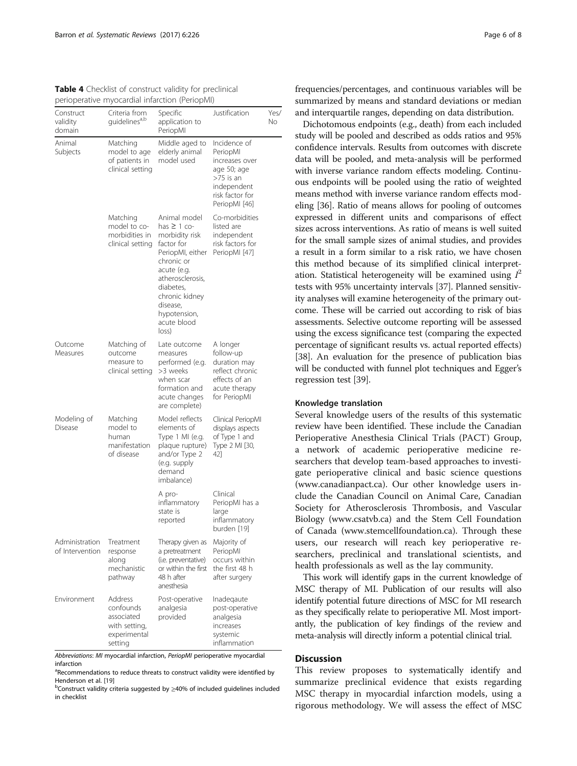<span id="page-5-0"></span>Table 4 Checklist of construct validity for preclinical perioperative myocardial infarction (PeriopMI)

| Construct                         | Criteria from                                                                  | penoperative impocaraial imaletion (i chopivil)<br>Specific                                                                                                                                                              | Justification                                                                                                               | Yes/ |
|-----------------------------------|--------------------------------------------------------------------------------|--------------------------------------------------------------------------------------------------------------------------------------------------------------------------------------------------------------------------|-----------------------------------------------------------------------------------------------------------------------------|------|
| validity<br>domain                | guidelines <sup>a,b</sup>                                                      | application to<br>PeriopMI                                                                                                                                                                                               |                                                                                                                             | No   |
| Animal<br>Subjects                | Matching<br>model to age<br>of patients in<br>clinical setting                 | Middle aged to<br>elderly animal<br>model used                                                                                                                                                                           | Incidence of<br>PeriopMI<br>increases over<br>age 50; age<br>$>75$ is an<br>independent<br>risk factor for<br>PeriopMI [46] |      |
|                                   | Matching<br>model to co-<br>morbidities in<br>clinical setting                 | Animal model<br>has $\geq$ 1 co-<br>morbidity risk<br>factor for<br>PeriopMI, either<br>chronic or<br>acute (e.g.<br>atherosclerosis,<br>diabetes,<br>chronic kidney<br>disease,<br>hypotension,<br>acute blood<br>loss) | Co-morbidities<br>listed are<br>independent<br>risk factors for<br>PeriopMI [47]                                            |      |
| Outcome<br>Measures               | Matching of<br>outcome<br>measure to<br>clinical setting                       | Late outcome<br>measures<br>performed (e.g.<br>>3 weeks<br>when scar<br>formation and<br>acute changes<br>are complete)                                                                                                  | A longer<br>follow-up<br>duration may<br>reflect chronic<br>effects of an<br>acute therapy<br>for PeriopMI                  |      |
| Modeling of<br>Disease            | Matching<br>model to<br>human<br>manifestation<br>of disease                   | Model reflects<br>elements of<br>Type 1 MI (e.g.<br>plaque rupture)<br>and/or Type 2<br>(e.g. supply<br>demand<br>imbalance)                                                                                             | Clinical PeriopMI<br>displays aspects<br>of Type 1 and<br>Type 2 MI [30,<br>421                                             |      |
|                                   |                                                                                | A pro-<br>inflammatory<br>state is<br>reported                                                                                                                                                                           | Clinical<br>PeriopMI has a<br>large<br>inflammatory<br>burden [19]                                                          |      |
| Administration<br>of Intervention | Treatment<br>response<br>along<br>mechanistic<br>pathway                       | Therapy given as<br>a pretreatment<br>(i.e. preventative)<br>or within the first<br>48 h after<br>anesthesia                                                                                                             | Majority of<br>PeriopMI<br>occurs within<br>the first 48 h<br>after surgery                                                 |      |
| Environment                       | Address<br>confounds<br>associated<br>with setting,<br>experimental<br>setting | Post-operative<br>analgesia<br>provided                                                                                                                                                                                  | Inadeqaute<br>post-operative<br>analgesia<br>increases<br>systemic<br>inflammation                                          |      |

Abbreviations: MI myocardial infarction, PeriopMI perioperative myocardial infarction

<sup>a</sup>Recommendations to reduce threats to construct validity were identified by Henderson et al. [\[19](#page-7-0)]

Construct validity criteria suggested by ≥40% of included guidelines included in checklist

frequencies/percentages, and continuous variables will be summarized by means and standard deviations or median and interquartile ranges, depending on data distribution.

Dichotomous endpoints (e.g., death) from each included study will be pooled and described as odds ratios and 95% confidence intervals. Results from outcomes with discrete data will be pooled, and meta-analysis will be performed with inverse variance random effects modeling. Continuous endpoints will be pooled using the ratio of weighted means method with inverse variance random effects modeling [\[36\]](#page-7-0). Ratio of means allows for pooling of outcomes expressed in different units and comparisons of effect sizes across interventions. As ratio of means is well suited for the small sample sizes of animal studies, and provides a result in a form similar to a risk ratio, we have chosen this method because of its simplified clinical interpretation. Statistical heterogeneity will be examined using  $I^2$ tests with 95% uncertainty intervals [[37\]](#page-7-0). Planned sensitivity analyses will examine heterogeneity of the primary outcome. These will be carried out according to risk of bias assessments. Selective outcome reporting will be assessed using the excess significance test (comparing the expected percentage of significant results vs. actual reported effects) [[38](#page-7-0)]. An evaluation for the presence of publication bias will be conducted with funnel plot techniques and Egger's regression test [[39\]](#page-7-0).

#### Knowledge translation

Several knowledge users of the results of this systematic review have been identified. These include the Canadian Perioperative Anesthesia Clinical Trials (PACT) Group, a network of academic perioperative medicine researchers that develop team-based approaches to investigate perioperative clinical and basic science questions ([www.canadianpact.ca\)](http://www.canadianpact.ca). Our other knowledge users include the Canadian Council on Animal Care, Canadian Society for Atherosclerosis Thrombosis, and Vascular Biology ([www.csatvb.ca\)](http://www.csatvb.ca) and the Stem Cell Foundation of Canada [\(www.stemcellfoundation.ca](http://www.stemcellfoundation.ca)). Through these users, our research will reach key perioperative researchers, preclinical and translational scientists, and health professionals as well as the lay community.

This work will identify gaps in the current knowledge of MSC therapy of MI. Publication of our results will also identify potential future directions of MSC for MI research as they specifically relate to perioperative MI. Most importantly, the publication of key findings of the review and meta-analysis will directly inform a potential clinical trial.

## **Discussion**

This review proposes to systematically identify and summarize preclinical evidence that exists regarding MSC therapy in myocardial infarction models, using a rigorous methodology. We will assess the effect of MSC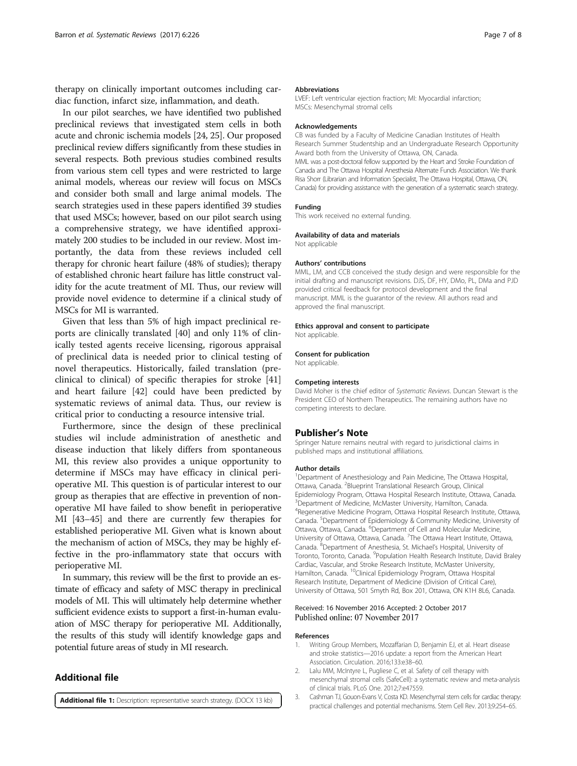<span id="page-6-0"></span>therapy on clinically important outcomes including cardiac function, infarct size, inflammation, and death.

In our pilot searches, we have identified two published preclinical reviews that investigated stem cells in both acute and chronic ischemia models [[24](#page-7-0), [25\]](#page-7-0). Our proposed preclinical review differs significantly from these studies in several respects. Both previous studies combined results from various stem cell types and were restricted to large animal models, whereas our review will focus on MSCs and consider both small and large animal models. The search strategies used in these papers identified 39 studies that used MSCs; however, based on our pilot search using a comprehensive strategy, we have identified approximately 200 studies to be included in our review. Most importantly, the data from these reviews included cell therapy for chronic heart failure (48% of studies); therapy of established chronic heart failure has little construct validity for the acute treatment of MI. Thus, our review will provide novel evidence to determine if a clinical study of MSCs for MI is warranted.

Given that less than 5% of high impact preclinical reports are clinically translated [[40\]](#page-7-0) and only 11% of clinically tested agents receive licensing, rigorous appraisal of preclinical data is needed prior to clinical testing of novel therapeutics. Historically, failed translation (preclinical to clinical) of specific therapies for stroke [[41](#page-7-0)] and heart failure [[42](#page-7-0)] could have been predicted by systematic reviews of animal data. Thus, our review is critical prior to conducting a resource intensive trial.

Furthermore, since the design of these preclinical studies wil include administration of anesthetic and disease induction that likely differs from spontaneous MI, this review also provides a unique opportunity to determine if MSCs may have efficacy in clinical perioperative MI. This question is of particular interest to our group as therapies that are effective in prevention of nonoperative MI have failed to show benefit in perioperative MI [[43](#page-7-0)–[45\]](#page-7-0) and there are currently few therapies for established perioperative MI. Given what is known about the mechanism of action of MSCs, they may be highly effective in the pro-inflammatory state that occurs with perioperative MI.

In summary, this review will be the first to provide an estimate of efficacy and safety of MSC therapy in preclinical models of MI. This will ultimately help determine whether sufficient evidence exists to support a first-in-human evaluation of MSC therapy for perioperative MI. Additionally, the results of this study will identify knowledge gaps and potential future areas of study in MI research.

# Additional file

[Additional file 1:](dx.doi.org/10.1186/s13643-017-0601-9) Description: representative search strategy. (DOCX 13 kb)

#### Abbreviations

LVEF: Left ventricular ejection fraction; MI: Myocardial infarction; MSCs: Mesenchymal stromal cells

#### Acknowledgements

CB was funded by a Faculty of Medicine Canadian Institutes of Health Research Summer Studentship and an Undergraduate Research Opportunity Award both from the University of Ottawa, ON, Canada. MML was a post-doctoral fellow supported by the Heart and Stroke Foundation of Canada and The Ottawa Hospital Anesthesia Alternate Funds Association. We thank Risa Shorr (Librarian and Information Specialist, The Ottawa Hospital, Ottawa, ON, Canada) for providing assistance with the generation of a systematic search strategy.

#### Funding

This work received no external funding.

#### Availability of data and materials

Not applicable

#### Authors' contributions

MML, LM, and CCB conceived the study design and were responsible for the initial drafting and manuscript revisions. DJS, DF, HY, DMo, PL, DMa and PJD provided critical feedback for protocol development and the final manuscript. MML is the guarantor of the review. All authors read and approved the final manuscript.

#### Ethics approval and consent to participate

Not applicable.

#### Consent for publication

Not applicable.

#### Competing interests

David Moher is the chief editor of Systematic Reviews. Duncan Stewart is the President CEO of Northern Therapeutics. The remaining authors have no competing interests to declare.

#### Publisher's Note

Springer Nature remains neutral with regard to jurisdictional claims in published maps and institutional affiliations.

#### Author details

<sup>1</sup>Department of Anesthesiology and Pain Medicine, The Ottawa Hospital Ottawa, Canada. <sup>2</sup>Blueprint Translational Research Group, Clinical Epidemiology Program, Ottawa Hospital Research Institute, Ottawa, Canada. 3 Department of Medicine, McMaster University, Hamilton, Canada. 4 Regenerative Medicine Program, Ottawa Hospital Research Institute, Ottawa, Canada. <sup>5</sup> Department of Epidemiology & Community Medicine, University of Ottawa, Ottawa, Canada. <sup>6</sup>Department of Cell and Molecular Medicine, University of Ottawa, Ottawa, Canada. <sup>7</sup>The Ottawa Heart Institute, Ottawa, Canada. <sup>8</sup>Department of Anesthesia, St. Michael's Hospital, University of Toronto, Toronto, Canada. <sup>9</sup> Population Health Research Institute, David Braley Cardiac, Vascular, and Stroke Research Institute, McMaster University, Hamilton, Canada. <sup>10</sup>Clinical Epidemiology Program, Ottawa Hospital Research Institute, Department of Medicine (Division of Critical Care), University of Ottawa, 501 Smyth Rd, Box 201, Ottawa, ON K1H 8L6, Canada.

#### Received: 16 November 2016 Accepted: 2 October 2017 Published online: 07 November 2017

#### References

- 1. Writing Group Members, Mozaffarian D, Benjamin EJ, et al. Heart disease and stroke statistics—2016 update: a report from the American Heart Association. Circulation. 2016;133:e38–60.
- 2. Lalu MM, McIntyre L, Pugliese C, et al. Safety of cell therapy with mesenchymal stromal cells (SafeCell): a systematic review and meta-analysis of clinical trials. PLoS One. 2012;7:e47559.
- 3. Cashman TJ, Gouon-Evans V, Costa KD. Mesenchymal stem cells for cardiac therapy: practical challenges and potential mechanisms. Stem Cell Rev. 2013;9:254–65.